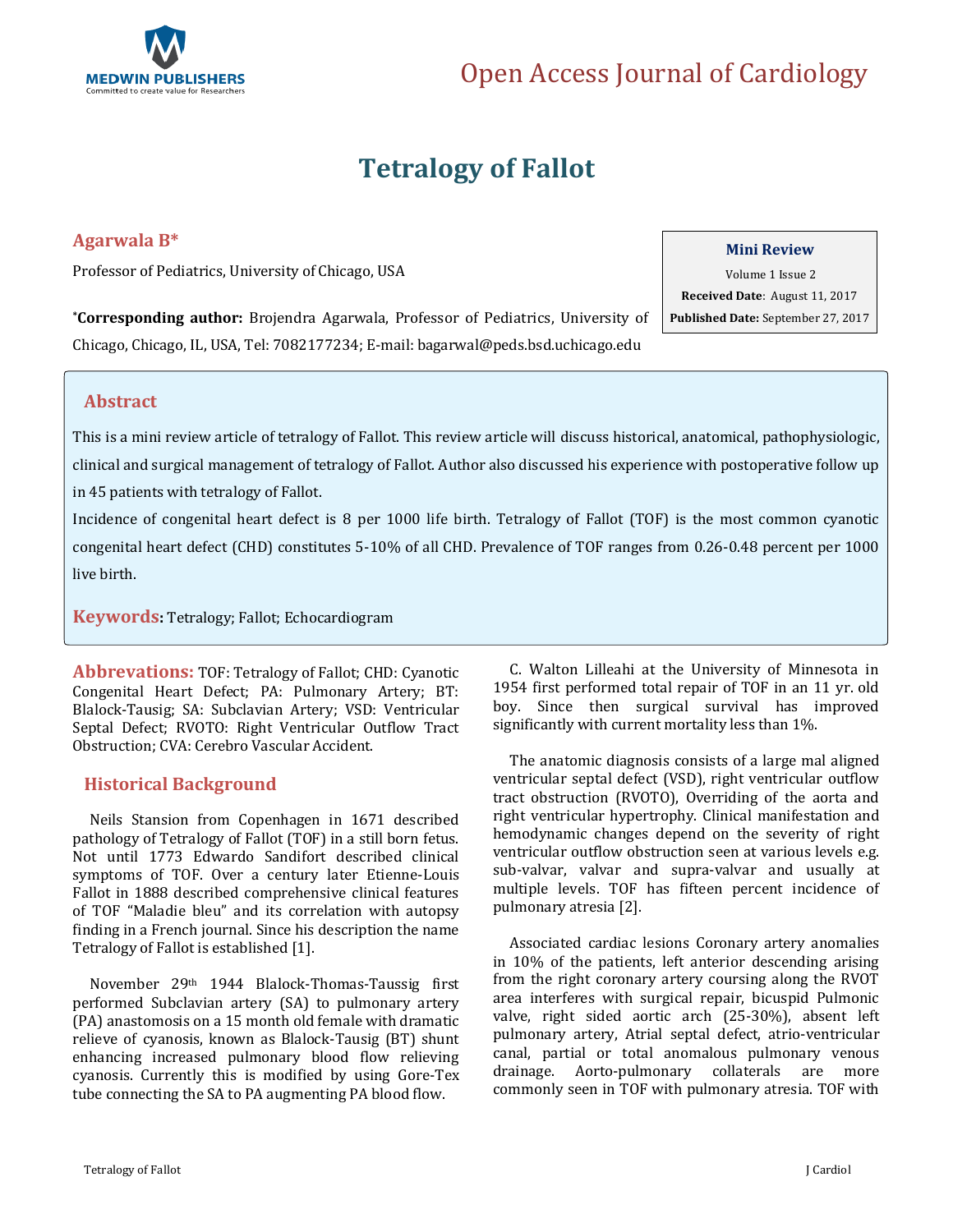

# **Tetralogy of Fallot**

## **Agarwala B\***

Professor of Pediatrics, University of Chicago, USA

### **Mini Review**

Volume 1 Issue 2 **Received Date**: August 11, 2017 **Published Date:** September 27, 2017

**\*Corresponding author:** Brojendra Agarwala, Professor of Pediatrics, University of Chicago, Chicago, IL, USA, Tel: 7082177234; E-mail[: bagarwal@peds.bsd.uchicago.edu](mailto:bagarwal@peds.bsd.uchicago.edu)

## **Abstract**

This is a mini review article of tetralogy of Fallot. This review article will discuss historical, anatomical, pathophysiologic, clinical and surgical management of tetralogy of Fallot. Author also discussed his experience with postoperative follow up in 45 patients with tetralogy of Fallot.

Incidence of congenital heart defect is 8 per 1000 life birth. Tetralogy of Fallot (TOF) is the most common cyanotic congenital heart defect (CHD) constitutes 5-10% of all CHD. Prevalence of TOF ranges from 0.26-0.48 percent per 1000 live birth.

**Keywords:** Tetralogy; Fallot; Echocardiogram

**Abbrevations:** TOF: Tetralogy of Fallot; CHD: Cyanotic Congenital Heart Defect; PA: Pulmonary Artery; BT: Blalock-Tausig; SA: Subclavian Artery; VSD: Ventricular Septal Defect; RVOTO: Right Ventricular Outflow Tract Obstruction; CVA: Cerebro Vascular Accident.

## **Historical Background**

 Neils Stansion from Copenhagen in 1671 described pathology of Tetralogy of Fallot (TOF) in a still born fetus. Not until 1773 Edwardo Sandifort described clinical symptoms of TOF. Over a century later Etienne-Louis Fallot in 1888 described comprehensive clinical features of TOF "Maladie bleu" and its correlation with autopsy finding in a French journal. Since his description the name Tetralogy of Fallot is established [1].

 November 29th 1944 Blalock-Thomas-Taussig first performed Subclavian artery (SA) to pulmonary artery (PA) anastomosis on a 15 month old female with dramatic relieve of cyanosis, known as Blalock-Tausig (BT) shunt enhancing increased pulmonary blood flow relieving cyanosis. Currently this is modified by using Gore-Tex tube connecting the SA to PA augmenting PA blood flow.

 C. Walton Lilleahi at the University of Minnesota in 1954 first performed total repair of TOF in an 11 yr. old boy. Since then surgical survival has improved significantly with current mortality less than 1%.

 The anatomic diagnosis consists of a large mal aligned ventricular septal defect (VSD), right ventricular outflow tract obstruction (RVOTO), Overriding of the aorta and right ventricular hypertrophy. Clinical manifestation and hemodynamic changes depend on the severity of right ventricular outflow obstruction seen at various levels e.g. sub-valvar, valvar and supra-valvar and usually at multiple levels. TOF has fifteen percent incidence of pulmonary atresia [2].

 Associated cardiac lesions Coronary artery anomalies in 10% of the patients, left anterior descending arising from the right coronary artery coursing along the RVOT area interferes with surgical repair, bicuspid Pulmonic valve, right sided aortic arch (25-30%), absent left pulmonary artery, Atrial septal defect, atrio-ventricular canal, partial or total anomalous pulmonary venous drainage. Aorto-pulmonary collaterals are more commonly seen in TOF with pulmonary atresia. TOF with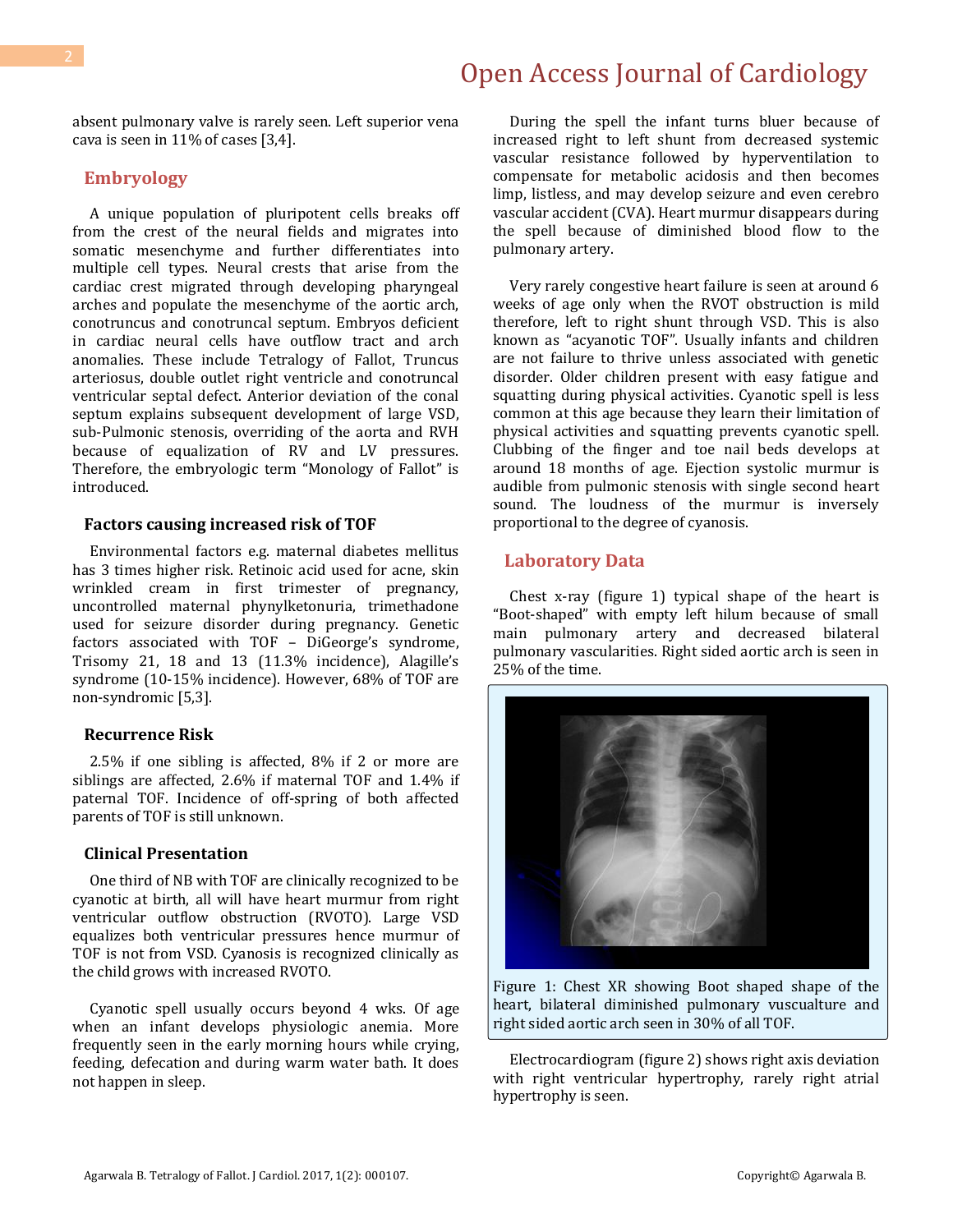absent pulmonary valve is rarely seen. Left superior vena cava is seen in 11% of cases [3,4].

### **Embryology**

 A unique population of pluripotent cells breaks off from the crest of the neural fields and migrates into somatic mesenchyme and further differentiates into multiple cell types. Neural crests that arise from the cardiac crest migrated through developing pharyngeal arches and populate the mesenchyme of the aortic arch, conotruncus and conotruncal septum. Embryos deficient in cardiac neural cells have outflow tract and arch anomalies. These include Tetralogy of Fallot, Truncus arteriosus, double outlet right ventricle and conotruncal ventricular septal defect. Anterior deviation of the conal septum explains subsequent development of large VSD, sub-Pulmonic stenosis, overriding of the aorta and RVH because of equalization of RV and LV pressures. Therefore, the embryologic term "Monology of Fallot" is introduced.

#### **Factors causing increased risk of TOF**

 Environmental factors e.g. maternal diabetes mellitus has 3 times higher risk. Retinoic acid used for acne, skin wrinkled cream in first trimester of pregnancy, uncontrolled maternal phynylketonuria, trimethadone used for seizure disorder during pregnancy. Genetic factors associated with TOF – DiGeorge's syndrome, Trisomy 21, 18 and 13 (11.3% incidence), Alagille's syndrome (10-15% incidence). However, 68% of TOF are non-syndromic [5,3].

#### **Recurrence Risk**

 2.5% if one sibling is affected, 8% if 2 or more are siblings are affected, 2.6% if maternal TOF and 1.4% if paternal TOF. Incidence of off-spring of both affected parents of TOF is still unknown.

#### **Clinical Presentation**

 One third of NB with TOF are clinically recognized to be cyanotic at birth, all will have heart murmur from right ventricular outflow obstruction (RVOTO). Large VSD equalizes both ventricular pressures hence murmur of TOF is not from VSD. Cyanosis is recognized clinically as the child grows with increased RVOTO.

 Cyanotic spell usually occurs beyond 4 wks. Of age when an infant develops physiologic anemia. More frequently seen in the early morning hours while crying, feeding, defecation and during warm water bath. It does not happen in sleep.

 During the spell the infant turns bluer because of increased right to left shunt from decreased systemic vascular resistance followed by hyperventilation to compensate for metabolic acidosis and then becomes limp, listless, and may develop seizure and even cerebro vascular accident (CVA). Heart murmur disappears during the spell because of diminished blood flow to the pulmonary artery.

 Very rarely congestive heart failure is seen at around 6 weeks of age only when the RVOT obstruction is mild therefore, left to right shunt through VSD. This is also known as "acyanotic TOF". Usually infants and children are not failure to thrive unless associated with genetic disorder. Older children present with easy fatigue and squatting during physical activities. Cyanotic spell is less common at this age because they learn their limitation of physical activities and squatting prevents cyanotic spell. Clubbing of the finger and toe nail beds develops at around 18 months of age. Ejection systolic murmur is audible from pulmonic stenosis with single second heart sound. The loudness of the murmur is inversely proportional to the degree of cyanosis.

#### **Laboratory Data**

 Chest x-ray (figure 1) typical shape of the heart is "Boot-shaped" with empty left hilum because of small main pulmonary artery and decreased bilateral pulmonary vascularities. Right sided aortic arch is seen in 25% of the time.



Figure 1: Chest XR showing Boot shaped shape of the heart, bilateral diminished pulmonary vuscualture and right sided aortic arch seen in 30% of all TOF.

 Electrocardiogram (figure 2) shows right axis deviation with right ventricular hypertrophy, rarely right atrial hypertrophy is seen.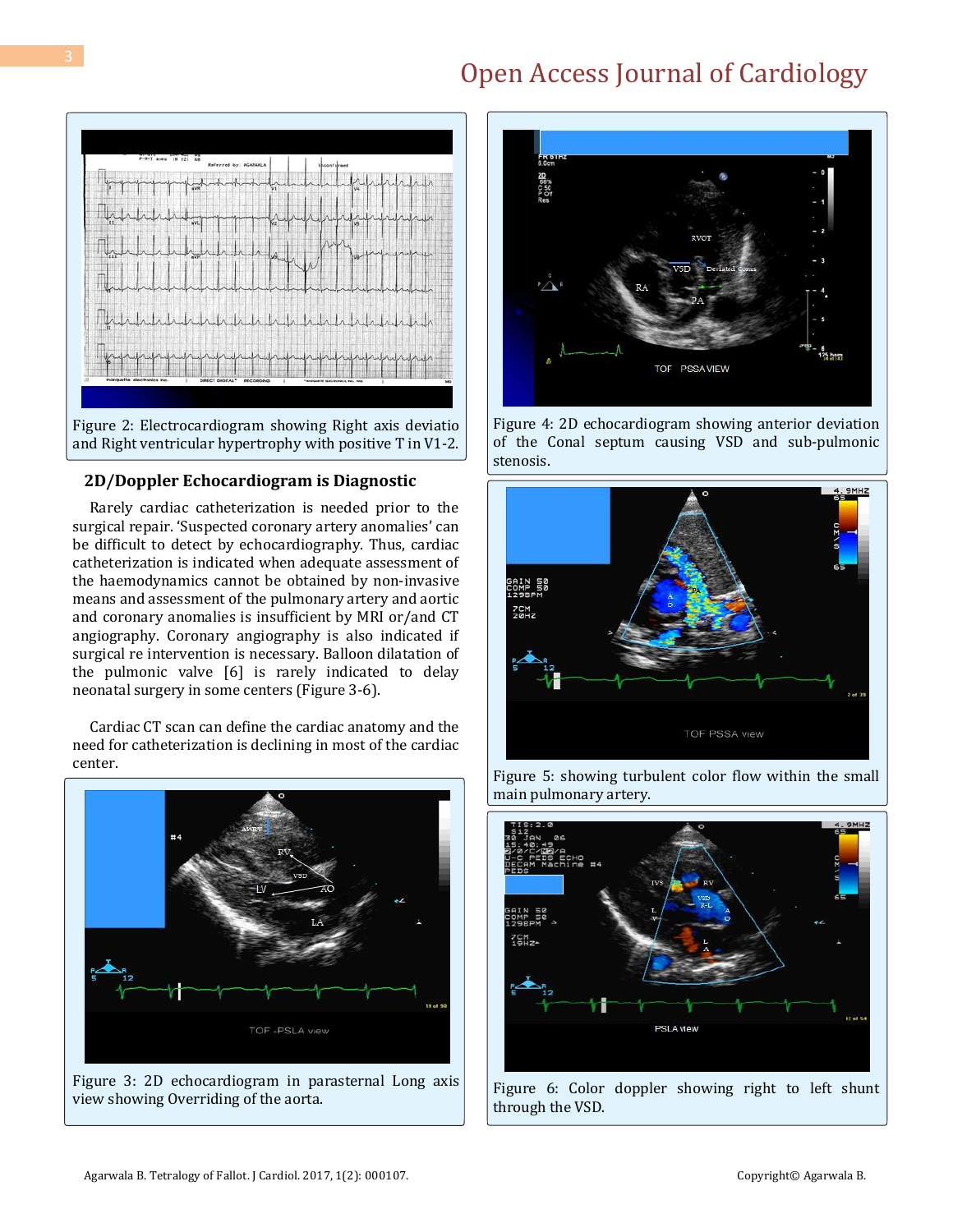



### **2D/Doppler Echocardiogram is Diagnostic**

 Rarely cardiac catheterization is needed prior to the surgical repair. 'Suspected coronary artery anomalies' can be difficult to detect by echocardiography. Thus, cardiac catheterization is indicated when adequate assessment of the haemodynamics cannot be obtained by non-invasive means and assessment of the pulmonary artery and aortic and coronary anomalies is insufficient by MRI or/and CT angiography. Coronary angiography is also indicated if surgical re intervention is necessary. Balloon dilatation of the pulmonic valve [6] is rarely indicated to delay neonatal surgery in some centers (Figure 3-6).

 Cardiac CT scan can define the cardiac anatomy and the need for catheterization is declining in most of the cardiac center.



Figure 3: 2D echocardiogram in parasternal Long axis view showing Overriding of the aorta.



Figure 4: 2D echocardiogram showing anterior deviation of the Conal septum causing VSD and sub-pulmonic stenosis.



Figure 5: showing turbulent color flow within the small main pulmonary artery.



Figure 6: Color doppler showing right to left shunt through the VSD.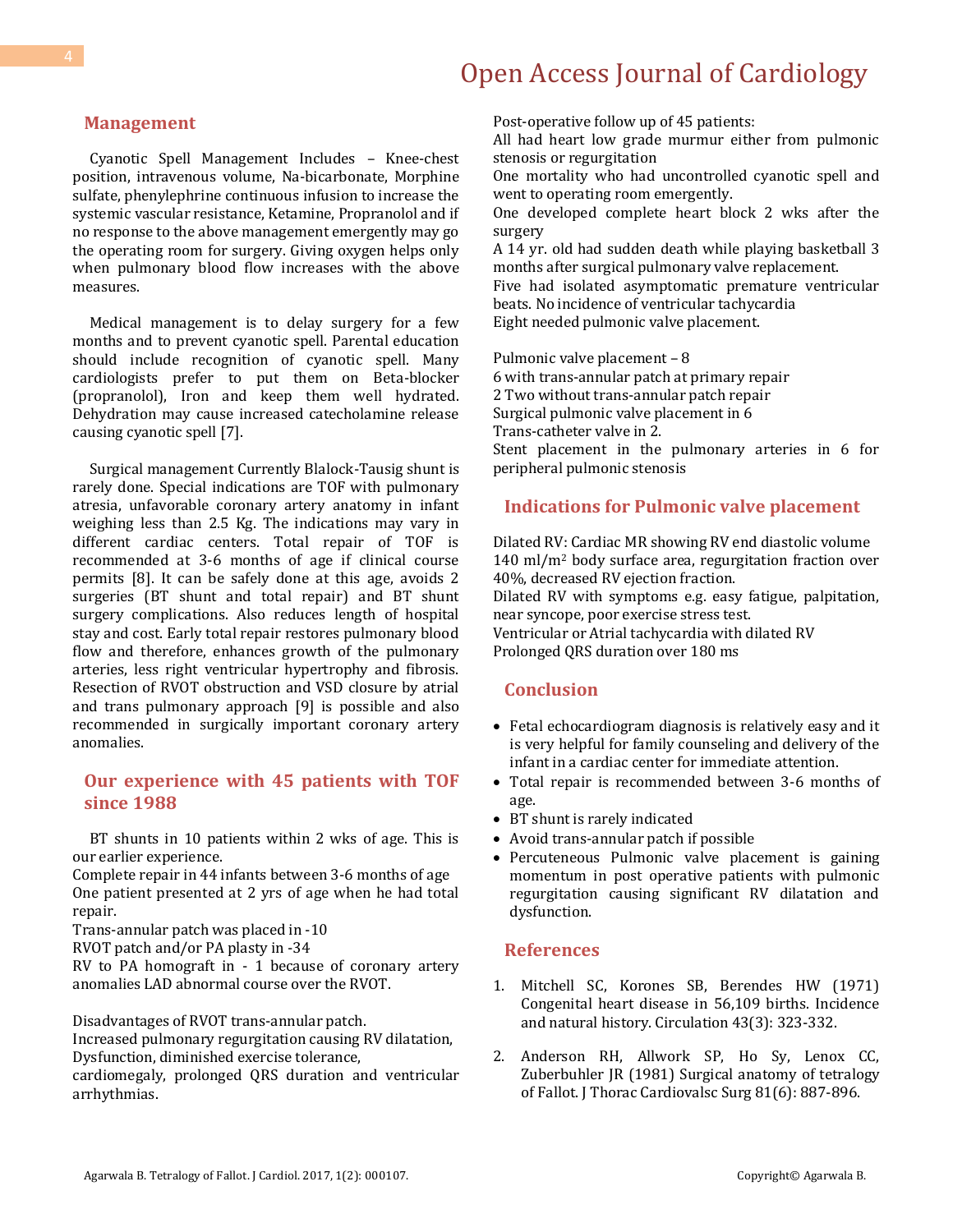#### **Management**

 Cyanotic Spell Management Includes – Knee-chest position, intravenous volume, Na-bicarbonate, Morphine sulfate, phenylephrine continuous infusion to increase the systemic vascular resistance, Ketamine, Propranolol and if no response to the above management emergently may go the operating room for surgery. Giving oxygen helps only when pulmonary blood flow increases with the above measures.

 Medical management is to delay surgery for a few months and to prevent cyanotic spell. Parental education should include recognition of cyanotic spell. Many cardiologists prefer to put them on Beta-blocker (propranolol), Iron and keep them well hydrated. Dehydration may cause increased catecholamine release causing cyanotic spell [7].

 Surgical management Currently Blalock-Tausig shunt is rarely done. Special indications are TOF with pulmonary atresia, unfavorable coronary artery anatomy in infant weighing less than 2.5 Kg. The indications may vary in different cardiac centers. Total repair of TOF is recommended at 3-6 months of age if clinical course permits [8]. It can be safely done at this age, avoids 2 surgeries (BT shunt and total repair) and BT shunt surgery complications. Also reduces length of hospital stay and cost. Early total repair restores pulmonary blood flow and therefore, enhances growth of the pulmonary arteries, less right ventricular hypertrophy and fibrosis. Resection of RVOT obstruction and VSD closure by atrial and trans pulmonary approach [9] is possible and also recommended in surgically important coronary artery anomalies.

## **Our experience with 45 patients with TOF since 1988**

 BT shunts in 10 patients within 2 wks of age. This is our earlier experience.

Complete repair in 44 infants between 3-6 months of age One patient presented at 2 yrs of age when he had total repair.

Trans-annular patch was placed in -10

RVOT patch and/or PA plasty in -34

RV to PA homograft in - 1 because of coronary artery anomalies LAD abnormal course over the RVOT.

Disadvantages of RVOT trans-annular patch.

Increased pulmonary regurgitation causing RV dilatation, Dysfunction, diminished exercise tolerance,

cardiomegaly, prolonged QRS duration and ventricular arrhythmias.

Post-operative follow up of 45 patients: All had heart low grade murmur either from pulmonic stenosis or regurgitation One mortality who had uncontrolled cyanotic spell and went to operating room emergently. One developed complete heart block 2 wks after the surgery A 14 yr. old had sudden death while playing basketball 3 months after surgical pulmonary valve replacement.

Five had isolated asymptomatic premature ventricular beats. No incidence of ventricular tachycardia Eight needed pulmonic valve placement.

Pulmonic valve placement – 8 6 with trans-annular patch at primary repair 2 Two without trans-annular patch repair Surgical pulmonic valve placement in 6 Trans-catheter valve in 2. Stent placement in the pulmonary arteries in 6 for peripheral pulmonic stenosis

#### **Indications for Pulmonic valve placement**

Dilated RV: Cardiac MR showing RV end diastolic volume 140 ml/m<sup>2</sup> body surface area, regurgitation fraction over 40%, decreased RV ejection fraction. Dilated RV with symptoms e.g. easy fatigue, palpitation, near syncope, poor exercise stress test. Ventricular or Atrial tachycardia with dilated RV Prolonged QRS duration over 180 ms

### **Conclusion**

- Fetal echocardiogram diagnosis is relatively easy and it is very helpful for family counseling and delivery of the infant in a cardiac center for immediate attention.
- Total repair is recommended between 3-6 months of age.
- BT shunt is rarely indicated
- Avoid trans-annular patch if possible
- Percuteneous Pulmonic valve placement is gaining momentum in post operative patients with pulmonic regurgitation causing significant RV dilatation and dysfunction.

### **References**

- 1. [Mitchell SC, Korones SB, Berendes](https://www.ncbi.nlm.nih.gov/pubmed/5102136) HW (1971) [Congenital heart disease in 56,109 births. Incidence](https://www.ncbi.nlm.nih.gov/pubmed/5102136)  [and natural history. Circulation 43\(3\): 323-332.](https://www.ncbi.nlm.nih.gov/pubmed/5102136)
- 2. [Anderson RH, Allwork SP, Ho Sy, Lenox CC,](https://www.ncbi.nlm.nih.gov/pubmed/7194951)  [Zuberbuhler JR \(1981\) Surgical anatomy of tetralogy](https://www.ncbi.nlm.nih.gov/pubmed/7194951)  [of Fallot. J Thorac Cardiovalsc Surg 81\(6\): 887-896.](https://www.ncbi.nlm.nih.gov/pubmed/7194951)